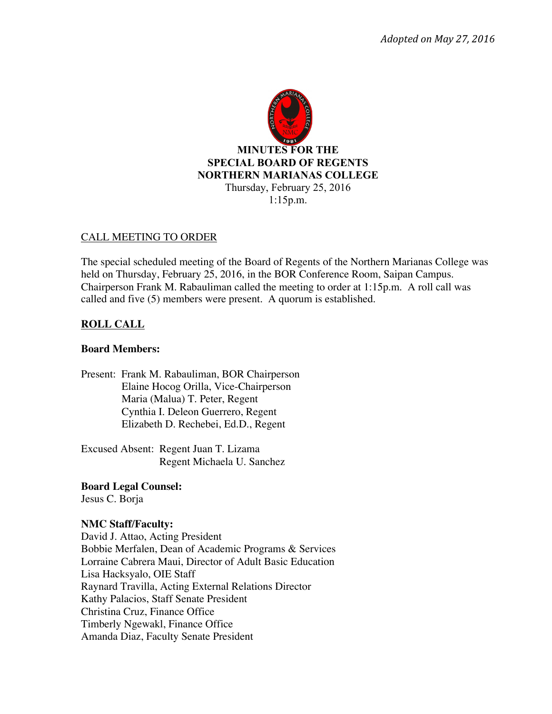

### CALL MEETING TO ORDER

The special scheduled meeting of the Board of Regents of the Northern Marianas College was held on Thursday, February 25, 2016, in the BOR Conference Room, Saipan Campus. Chairperson Frank M. Rabauliman called the meeting to order at 1:15p.m. A roll call was called and five (5) members were present. A quorum is established.

## **ROLL CALL**

### **Board Members:**

Present: Frank M. Rabauliman, BOR Chairperson Elaine Hocog Orilla, Vice-Chairperson Maria (Malua) T. Peter, Regent Cynthia I. Deleon Guerrero, Regent Elizabeth D. Rechebei, Ed.D., Regent

Excused Absent: Regent Juan T. Lizama Regent Michaela U. Sanchez

# **Board Legal Counsel:**

Jesus C. Borja

## **NMC Staff/Faculty:**

David J. Attao, Acting President Bobbie Merfalen, Dean of Academic Programs & Services Lorraine Cabrera Maui, Director of Adult Basic Education Lisa Hacksyalo, OIE Staff Raynard Travilla, Acting External Relations Director Kathy Palacios, Staff Senate President Christina Cruz, Finance Office Timberly Ngewakl, Finance Office Amanda Diaz, Faculty Senate President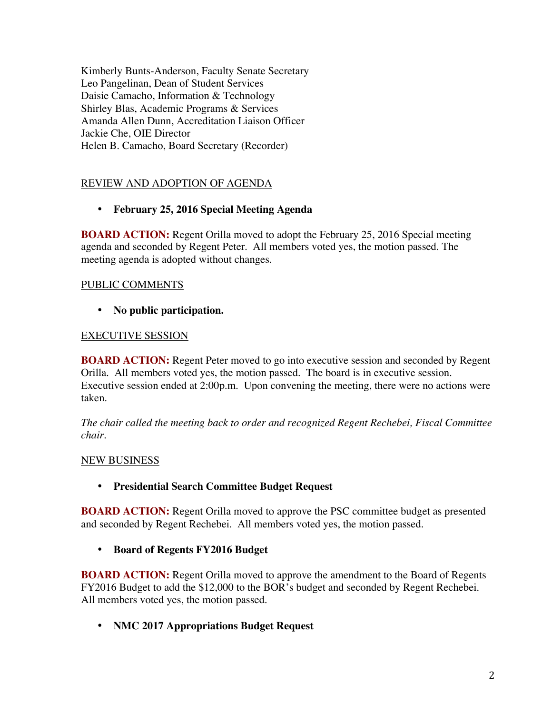Kimberly Bunts-Anderson, Faculty Senate Secretary Leo Pangelinan, Dean of Student Services Daisie Camacho, Information & Technology Shirley Blas, Academic Programs & Services Amanda Allen Dunn, Accreditation Liaison Officer Jackie Che, OIE Director Helen B. Camacho, Board Secretary (Recorder)

# REVIEW AND ADOPTION OF AGENDA

• **February 25, 2016 Special Meeting Agenda**

**BOARD ACTION:** Regent Orilla moved to adopt the February 25, 2016 Special meeting agenda and seconded by Regent Peter. All members voted yes, the motion passed. The meeting agenda is adopted without changes.

## PUBLIC COMMENTS

• **No public participation.** 

# EXECUTIVE SESSION

**BOARD ACTION:** Regent Peter moved to go into executive session and seconded by Regent Orilla. All members voted yes, the motion passed. The board is in executive session. Executive session ended at 2:00p.m. Upon convening the meeting, there were no actions were taken.

*The chair called the meeting back to order and recognized Regent Rechebei, Fiscal Committee chair.* 

## NEW BUSINESS

## • **Presidential Search Committee Budget Request**

**BOARD ACTION:** Regent Orilla moved to approve the PSC committee budget as presented and seconded by Regent Rechebei. All members voted yes, the motion passed.

• **Board of Regents FY2016 Budget** 

**BOARD ACTION:** Regent Orilla moved to approve the amendment to the Board of Regents FY2016 Budget to add the \$12,000 to the BOR's budget and seconded by Regent Rechebei. All members voted yes, the motion passed.

• **NMC 2017 Appropriations Budget Request**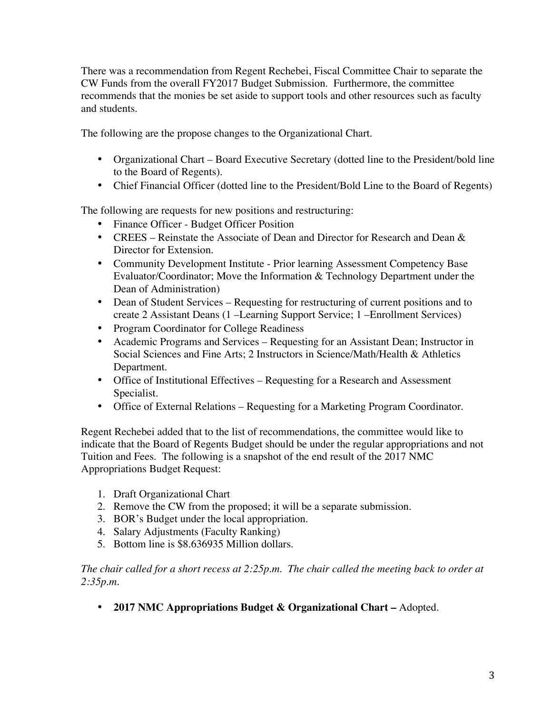There was a recommendation from Regent Rechebei, Fiscal Committee Chair to separate the CW Funds from the overall FY2017 Budget Submission. Furthermore, the committee recommends that the monies be set aside to support tools and other resources such as faculty and students.

The following are the propose changes to the Organizational Chart.

- Organizational Chart Board Executive Secretary (dotted line to the President/bold line to the Board of Regents).
- Chief Financial Officer (dotted line to the President/Bold Line to the Board of Regents)

The following are requests for new positions and restructuring:

- Finance Officer Budget Officer Position
- CREES Reinstate the Associate of Dean and Director for Research and Dean & Director for Extension.
- Community Development Institute Prior learning Assessment Competency Base Evaluator/Coordinator; Move the Information & Technology Department under the Dean of Administration)
- Dean of Student Services Requesting for restructuring of current positions and to create 2 Assistant Deans (1 –Learning Support Service; 1 –Enrollment Services)
- Program Coordinator for College Readiness
- Academic Programs and Services Requesting for an Assistant Dean; Instructor in Social Sciences and Fine Arts; 2 Instructors in Science/Math/Health & Athletics Department.
- Office of Institutional Effectives Requesting for a Research and Assessment Specialist.
- Office of External Relations Requesting for a Marketing Program Coordinator.

Regent Rechebei added that to the list of recommendations, the committee would like to indicate that the Board of Regents Budget should be under the regular appropriations and not Tuition and Fees. The following is a snapshot of the end result of the 2017 NMC Appropriations Budget Request:

- 1. Draft Organizational Chart
- 2. Remove the CW from the proposed; it will be a separate submission.
- 3. BOR's Budget under the local appropriation.
- 4. Salary Adjustments (Faculty Ranking)
- 5. Bottom line is \$8.636935 Million dollars.

*The chair called for a short recess at 2:25p.m. The chair called the meeting back to order at 2:35p.m.* 

• **2017 NMC Appropriations Budget & Organizational Chart –** Adopted.